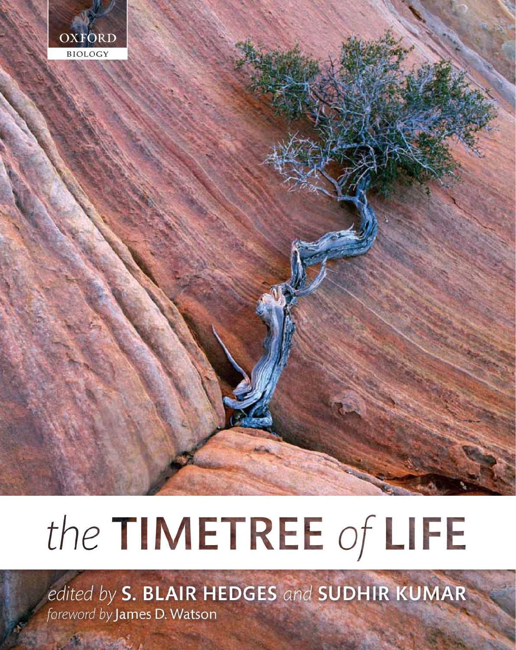

## the TIMETREE of LIFE

edited by S. BLAIR HEDGES and SUDHIR KUMAR foreword by James D. Watson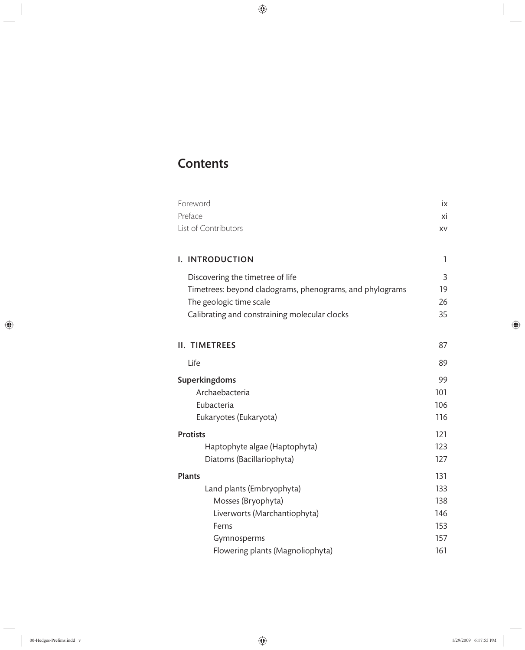## **Contents**

| Foreword                                                 | iх  |  |
|----------------------------------------------------------|-----|--|
| Preface                                                  | хi  |  |
| List of Contributors                                     | XV  |  |
|                                                          |     |  |
| I. INTRODUCTION                                          | 1   |  |
| Discovering the timetree of life                         | 3   |  |
| Timetrees: beyond cladograms, phenograms, and phylograms | 19  |  |
| The geologic time scale                                  | 26  |  |
| Calibrating and constraining molecular clocks            | 35  |  |
|                                                          |     |  |
| <b>II. TIMETREES</b>                                     | 87  |  |
| Life                                                     | 89  |  |
| Superkingdoms                                            | 99  |  |
| Archaebacteria                                           |     |  |
| Eubacteria                                               |     |  |
| Eukaryotes (Eukaryota)                                   | 116 |  |
| <b>Protists</b>                                          | 121 |  |
| Haptophyte algae (Haptophyta)                            | 123 |  |
| Diatoms (Bacillariophyta)                                | 127 |  |
| <b>Plants</b>                                            | 131 |  |
| Land plants (Embryophyta)                                | 133 |  |
| Mosses (Bryophyta)                                       | 138 |  |
| Liverworts (Marchantiophyta)                             | 146 |  |
| Ferns                                                    | 153 |  |
| Gymnosperms                                              | 157 |  |
| Flowering plants (Magnoliophyta)                         | 161 |  |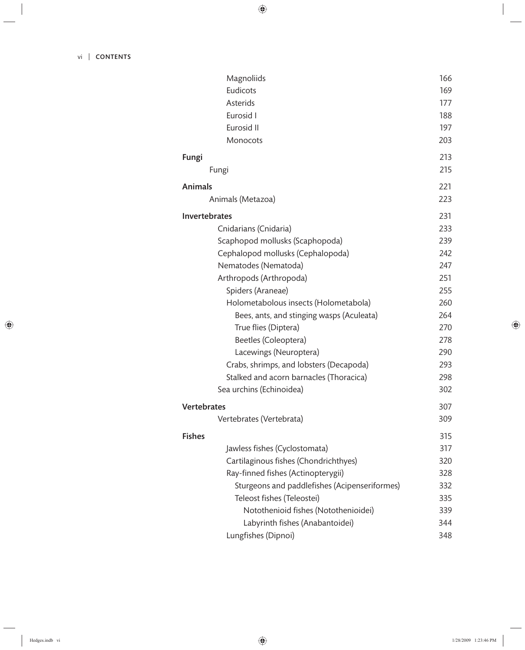| Magnoliids                                    | 166 |
|-----------------------------------------------|-----|
| Eudicots                                      | 169 |
| Asterids                                      | 177 |
| Eurosid I                                     | 188 |
| Eurosid II                                    | 197 |
| Monocots                                      | 203 |
| Fungi                                         | 213 |
| Fungi                                         | 215 |
| <b>Animals</b>                                | 221 |
| Animals (Metazoa)                             | 223 |
| Invertebrates                                 | 231 |
| Cnidarians (Cnidaria)                         | 233 |
| Scaphopod mollusks (Scaphopoda)               | 239 |
| Cephalopod mollusks (Cephalopoda)             | 242 |
| Nematodes (Nematoda)                          | 247 |
| Arthropods (Arthropoda)                       | 251 |
| Spiders (Araneae)                             | 255 |
| Holometabolous insects (Holometabola)         | 260 |
| Bees, ants, and stinging wasps (Aculeata)     | 264 |
| True flies (Diptera)                          | 270 |
| Beetles (Coleoptera)                          | 278 |
| Lacewings (Neuroptera)                        | 290 |
| Crabs, shrimps, and lobsters (Decapoda)       | 293 |
| Stalked and acorn barnacles (Thoracica)       | 298 |
| Sea urchins (Echinoidea)                      | 302 |
| <b>Vertebrates</b>                            | 307 |
| Vertebrates (Vertebrata)                      | 309 |
| <b>Fishes</b>                                 | 315 |
| Jawless fishes (Cyclostomata)                 | 317 |
| Cartilaginous fishes (Chondrichthyes)         | 320 |
| Ray-finned fishes (Actinopterygii)            | 328 |
| Sturgeons and paddlefishes (Acipenseriformes) | 332 |
| Teleost fishes (Teleostei)                    | 335 |
| Notothenioid fishes (Notothenioidei)          | 339 |
| Labyrinth fishes (Anabantoidei)               | 344 |
| Lungfishes (Dipnoi)                           | 348 |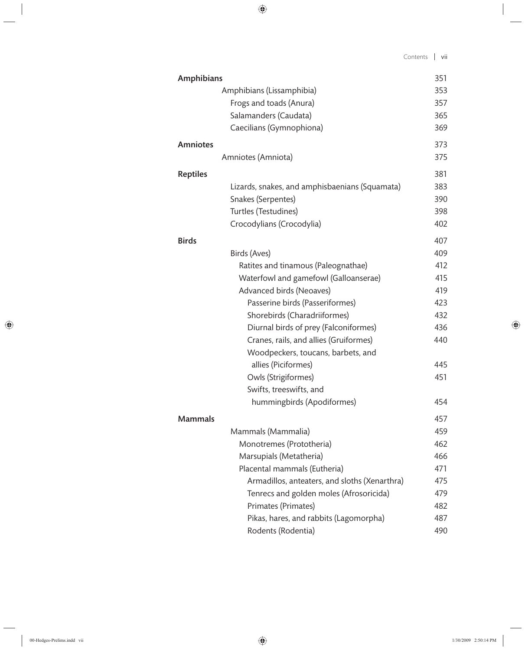| <b>Amphibians</b> |                                                | 351 |
|-------------------|------------------------------------------------|-----|
|                   | Amphibians (Lissamphibia)                      | 353 |
|                   | Frogs and toads (Anura)                        | 357 |
|                   | Salamanders (Caudata)                          | 365 |
|                   | Caecilians (Gymnophiona)                       | 369 |
| <b>Amniotes</b>   |                                                | 373 |
|                   | Amniotes (Amniota)                             | 375 |
| <b>Reptiles</b>   |                                                | 381 |
|                   | Lizards, snakes, and amphisbaenians (Squamata) | 383 |
|                   | Snakes (Serpentes)                             | 390 |
|                   | Turtles (Testudines)                           | 398 |
|                   | Crocodylians (Crocodylia)                      | 402 |
| <b>Birds</b>      |                                                | 407 |
|                   | Birds (Aves)                                   | 409 |
|                   | Ratites and tinamous (Paleognathae)            | 412 |
|                   | Waterfowl and gamefowl (Galloanserae)          | 415 |
|                   | Advanced birds (Neoaves)                       | 419 |
|                   | Passerine birds (Passeriformes)                | 423 |
|                   | Shorebirds (Charadriiformes)                   | 432 |
|                   | Diurnal birds of prey (Falconiformes)          | 436 |
|                   | Cranes, rails, and allies (Gruiformes)         | 440 |
|                   | Woodpeckers, toucans, barbets, and             |     |
|                   | allies (Piciformes)                            | 445 |
|                   | Owls (Strigiformes)                            | 451 |
|                   | Swifts, treeswifts, and                        |     |
|                   | hummingbirds (Apodiformes)                     | 454 |
| Mammals           |                                                | 457 |
|                   | Mammals (Mammalia)                             | 459 |
|                   | Monotremes (Prototheria)                       | 462 |
|                   | Marsupials (Metatheria)                        | 466 |
|                   | Placental mammals (Eutheria)                   | 471 |
|                   | Armadillos, anteaters, and sloths (Xenarthra)  | 475 |
|                   | Tenrecs and golden moles (Afrosoricida)        | 479 |
|                   | Primates (Primates)                            | 482 |
|                   | Pikas, hares, and rabbits (Lagomorpha)         | 487 |
|                   | Rodents (Rodentia)                             | 490 |